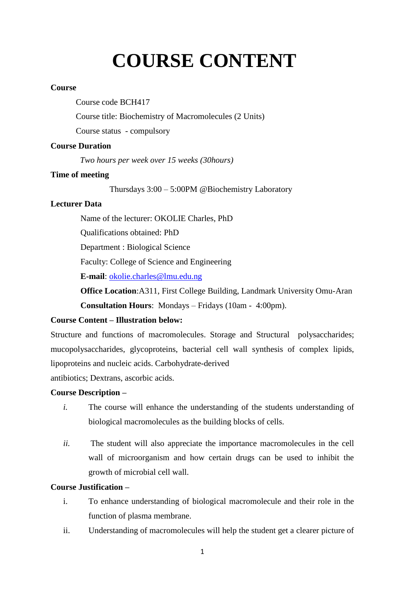# **COURSE CONTENT**

#### **Course**

Course code BCH417

Course title: Biochemistry of Macromolecules (2 Units)

Course status - compulsory

#### **Course Duration**

 *Two hours per week over 15 weeks (30hours)*

#### **Time of meeting**

Thursdays 3:00 – 5:00PM @Biochemistry Laboratory

#### **Lecturer Data**

Name of the lecturer: OKOLIE Charles, PhD

Qualifications obtained: PhD

Department : Biological Science

Faculty: College of Science and Engineering

**E-mail**: [okolie.charles@lmu.edu.ng](mailto:okolie.charles@lmu.edu.ng)

**Office Location**:A311, First College Building, Landmark University Omu-Aran **Consultation Hours**: Mondays – Fridays (10am - 4:00pm).

### **Course Content – Illustration below:**

Structure and functions of macromolecules. Storage and Structural polysaccharides; mucopolysaccharides, glycoproteins, bacterial cell wall synthesis of complex lipids, lipoproteins and nucleic acids. Carbohydrate-derived

antibiotics; Dextrans, ascorbic acids.

#### **Course Description –**

- *i.* The course will enhance the understanding of the students understanding of biological macromolecules as the building blocks of cells.
- *ii.* The student will also appreciate the importance macromolecules in the cell wall of microorganism and how certain drugs can be used to inhibit the growth of microbial cell wall.

#### **Course Justification –**

- i. To enhance understanding of biological macromolecule and their role in the function of plasma membrane.
- ii. Understanding of macromolecules will help the student get a clearer picture of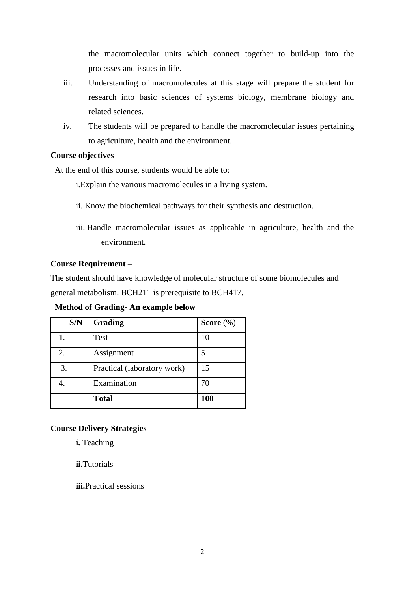the macromolecular units which connect together to build-up into the processes and issues in life.

- iii. Understanding of macromolecules at this stage will prepare the student for research into basic sciences of systems biology, membrane biology and related sciences.
- iv. The students will be prepared to handle the macromolecular issues pertaining to agriculture, health and the environment.

#### **Course objectives**

At the end of this course, students would be able to:

i.Explain the various macromolecules in a living system.

- ii. Know the biochemical pathways for their synthesis and destruction.
- iii. Handle macromolecular issues as applicable in agriculture, health and the environment.

#### **Course Requirement –**

The student should have knowledge of molecular structure of some biomolecules and general metabolism. BCH211 is prerequisite to BCH417.

**Method of Grading- An example below**

| S/N | Grading                     | Score $(\%)$ |
|-----|-----------------------------|--------------|
|     | Test                        | 10           |
| 2.  | Assignment                  | 5            |
| 3.  | Practical (laboratory work) | 15           |
|     | Examination                 | 70           |
|     | <b>Total</b>                | 100          |

## **Course Delivery Strategies –**

**i.** Teaching

**ii.**Tutorials

**iii.**Practical sessions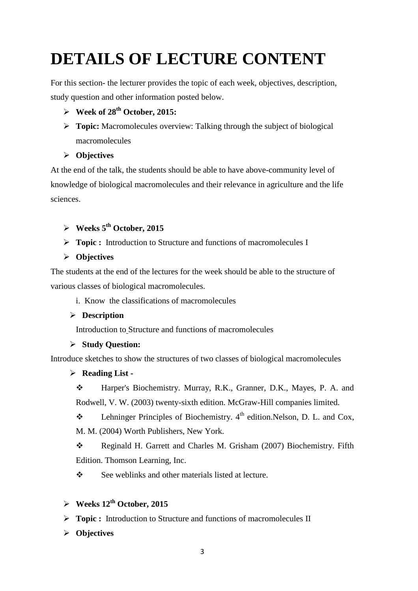# **DETAILS OF LECTURE CONTENT**

For this section- the lecturer provides the topic of each week, objectives, description, study question and other information posted below.

## $\triangleright$  Week of 28<sup>th</sup> October, 2015:

**Topic:** Macromolecules overview: Talking through the subject of biological macromolecules

## **Objectives**

At the end of the talk, the students should be able to have above-community level of knowledge of biological macromolecules and their relevance in agriculture and the life sciences.

## **Weeks 5 th October, 2015**

- **Topic :** Introduction to Structure and functions of macromolecules I
- **Objectives**

The students at the end of the lectures for the week should be able to the structure of various classes of biological macromolecules.

i. Know the classifications of macromolecules

## **Description**

Introduction to Structure and functions of macromolecules

## **Study Question:**

Introduce sketches to show the structures of two classes of biological macromolecules

## **Reading List -**

 Harper's Biochemistry. Murray, R.K., Granner, D.K., Mayes, P. A. and Rodwell, V. W. (2003) twenty-sixth edition. McGraw-Hill companies limited.

**Example 1.** Lehninger Principles of Biochemistry.  $4^{\text{th}}$  edition. Nelson, D. L. and Cox,

M. M. (2004) Worth Publishers, New York.

\* Reginald H. Garrett and Charles M. Grisham (2007) Biochemistry. Fifth Edition. Thomson Learning, Inc.

See weblinks and other materials listed at lecture.

## **Weeks 12 th October, 2015**

- **Topic :** Introduction to Structure and functions of macromolecules II
- **Objectives**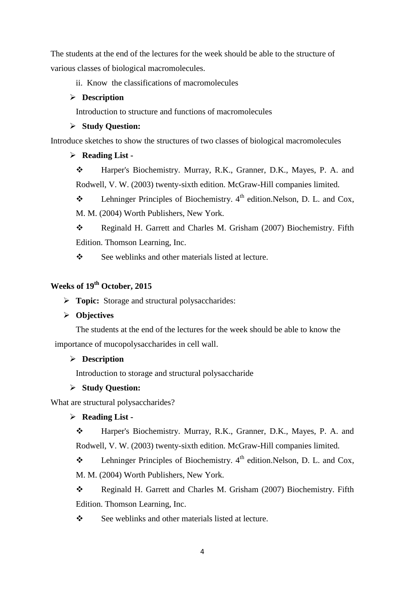The students at the end of the lectures for the week should be able to the structure of various classes of biological macromolecules.

#### ii. Know the classifications of macromolecules

#### **Description**

Introduction to structure and functions of macromolecules

#### **Study Question:**

Introduce sketches to show the structures of two classes of biological macromolecules

#### **Reading List -**

 Harper's Biochemistry. Murray, R.K., Granner, D.K., Mayes, P. A. and Rodwell, V. W. (2003) twenty-sixth edition. McGraw-Hill companies limited.

**Example 1.** Lehninger Principles of Biochemistry.  $4^{\text{th}}$  edition. Nelson, D. L. and Cox, M. M. (2004) Worth Publishers, New York.

\* Reginald H. Garrett and Charles M. Grisham (2007) Biochemistry. Fifth Edition. Thomson Learning, Inc.

See weblinks and other materials listed at lecture.

## **Weeks of 19th October, 2015**

**Topic:** Storage and structural polysaccharides:

#### **Objectives**

The students at the end of the lectures for the week should be able to know the importance of mucopolysaccharides in cell wall.

#### **Description**

Introduction to storage and structural polysaccharide

#### **Study Question:**

What are structural polysaccharides?

#### **Reading List -**

 Harper's Biochemistry. Murray, R.K., Granner, D.K., Mayes, P. A. and Rodwell, V. W. (2003) twenty-sixth edition. McGraw-Hill companies limited.

**Example 1.4** Lehninger Principles of Biochemistry.  $4^{\text{th}}$  edition. Nelson, D. L. and Cox, M. M. (2004) Worth Publishers, New York.

\* Reginald H. Garrett and Charles M. Grisham (2007) Biochemistry. Fifth Edition. Thomson Learning, Inc.

See weblinks and other materials listed at lecture.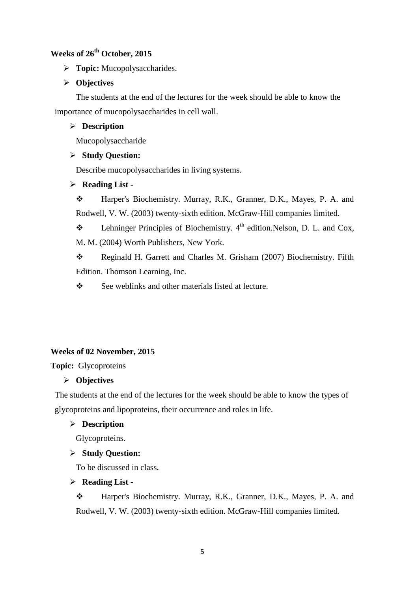## **Weeks of 26th October, 2015**

**Topic:** Mucopolysaccharides.

## **Objectives**

The students at the end of the lectures for the week should be able to know the importance of mucopolysaccharides in cell wall.

### **Description**

Mucopolysaccharide

#### **Study Question:**

Describe mucopolysaccharides in living systems.

#### **Reading List -**

 Harper's Biochemistry. Murray, R.K., Granner, D.K., Mayes, P. A. and Rodwell, V. W. (2003) twenty-sixth edition. McGraw-Hill companies limited.

**Example 1.4** Lehninger Principles of Biochemistry.  $4^{\text{th}}$  edition. Nelson, D. L. and Cox, M. M. (2004) Worth Publishers, New York.

\* Reginald H. Garrett and Charles M. Grisham (2007) Biochemistry. Fifth Edition. Thomson Learning, Inc.

See weblinks and other materials listed at lecture.

## **Weeks of 02 November, 2015**

**Topic:** Glycoproteins

## **Objectives**

The students at the end of the lectures for the week should be able to know the types of glycoproteins and lipoproteins, their occurrence and roles in life.

#### **Description**

Glycoproteins.

## **Study Question:**

To be discussed in class.

## **Reading List -**

 Harper's Biochemistry. Murray, R.K., Granner, D.K., Mayes, P. A. and Rodwell, V. W. (2003) twenty-sixth edition. McGraw-Hill companies limited.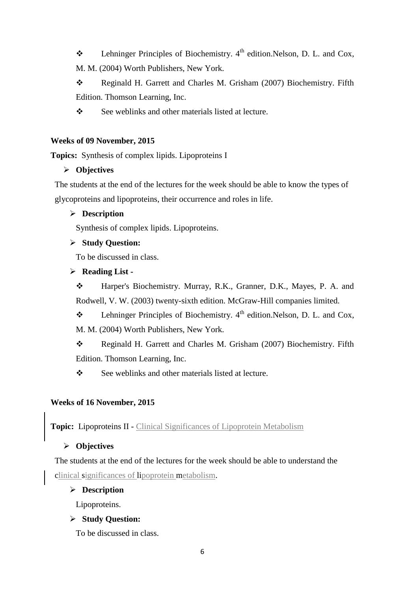**Example 1.** Lehninger Principles of Biochemistry.  $4^{\text{th}}$  edition. Nelson, D. L. and Cox,

M. M. (2004) Worth Publishers, New York.

\* Reginald H. Garrett and Charles M. Grisham (2007) Biochemistry. Fifth Edition. Thomson Learning, Inc.

See weblinks and other materials listed at lecture.

## **Weeks of 09 November, 2015**

**Topics:** Synthesis of complex lipids. Lipoproteins I

## **Objectives**

The students at the end of the lectures for the week should be able to know the types of glycoproteins and lipoproteins, their occurrence and roles in life.

## **Description**

Synthesis of complex lipids. Lipoproteins.

## **Study Question:**

To be discussed in class.

## **Reading List -**

 Harper's Biochemistry. Murray, R.K., Granner, D.K., Mayes, P. A. and Rodwell, V. W. (2003) twenty-sixth edition. McGraw-Hill companies limited.

**Example 2.1** Lehninger Principles of Biochemistry.  $4^{\text{th}}$  edition. Nelson, D. L. and Cox, M. M. (2004) Worth Publishers, New York.

\* Reginald H. Garrett and Charles M. Grisham (2007) Biochemistry. Fifth Edition. Thomson Learning, Inc.

See weblinks and other materials listed at lecture.

## **Weeks of 16 November, 2015**

**Topic:** Lipoproteins II - Clinical Significances of Lipoprotein Metabolism

## **Objectives**

The students at the end of the lectures for the week should be able to understand the clinical significances of lipoprotein metabolism.

## **Description**

Lipoproteins.

## **Study Question:**

To be discussed in class.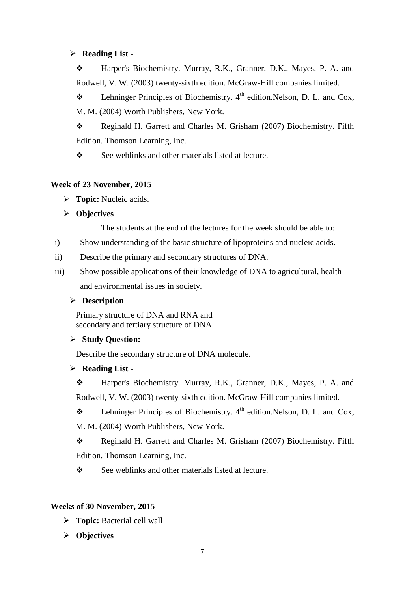#### **Reading List -**

 Harper's Biochemistry. Murray, R.K., Granner, D.K., Mayes, P. A. and Rodwell, V. W. (2003) twenty-sixth edition. McGraw-Hill companies limited.

**Example 1.** Lehninger Principles of Biochemistry.  $4^{\text{th}}$  edition. Nelson, D. L. and Cox, M. M. (2004) Worth Publishers, New York.

\* Reginald H. Garrett and Charles M. Grisham (2007) Biochemistry. Fifth Edition. Thomson Learning, Inc.

 $\div$  See weblinks and other materials listed at lecture.

#### **Week of 23 November, 2015**

**Topic:** Nucleic acids.

**Objectives**

The students at the end of the lectures for the week should be able to:

- i) Show understanding of the basic structure of lipoproteins and nucleic acids.
- ii) Describe the primary and secondary structures of DNA.
- iii) Show possible applications of their knowledge of DNA to agricultural, health and environmental issues in society.

#### **Description**

Primary structure of DNA and RNA and secondary and tertiary structure of DNA.

#### **Study Question:**

Describe the secondary structure of DNA molecule.

#### **Reading List -**

 Harper's Biochemistry. Murray, R.K., Granner, D.K., Mayes, P. A. and Rodwell, V. W. (2003) twenty-sixth edition. McGraw-Hill companies limited.

**Example 1** Lehninger Principles of Biochemistry.  $4^{\text{th}}$  edition. Nelson, D. L. and Cox,

M. M. (2004) Worth Publishers, New York.

\* Reginald H. Garrett and Charles M. Grisham (2007) Biochemistry. Fifth Edition. Thomson Learning, Inc.

See weblinks and other materials listed at lecture.

## **Weeks of 30 November, 2015**

- **Topic:** Bacterial cell wall
- **Objectives**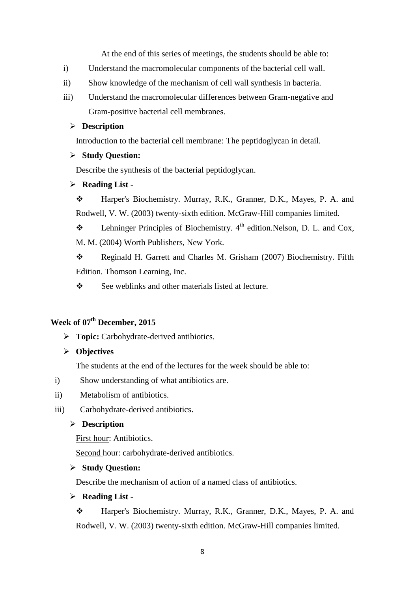At the end of this series of meetings, the students should be able to:

- i) Understand the macromolecular components of the bacterial cell wall.
- ii) Show knowledge of the mechanism of cell wall synthesis in bacteria.
- iii) Understand the macromolecular differences between Gram-negative and Gram-positive bacterial cell membranes.

#### **Description**

Introduction to the bacterial cell membrane: The peptidoglycan in detail.

#### **Study Question:**

Describe the synthesis of the bacterial peptidoglycan.

#### **Reading List -**

 Harper's Biochemistry. Murray, R.K., Granner, D.K., Mayes, P. A. and Rodwell, V. W. (2003) twenty-sixth edition. McGraw-Hill companies limited.

**Example 1.4** Lehninger Principles of Biochemistry.  $4^{\text{th}}$  edition. Nelson, D. L. and Cox, M. M. (2004) Worth Publishers, New York.

\* Reginald H. Garrett and Charles M. Grisham (2007) Biochemistry. Fifth Edition. Thomson Learning, Inc.

See weblinks and other materials listed at lecture.

## **Week of 07th December, 2015**

> **Topic:** Carbohydrate-derived antibiotics.

#### **Objectives**

The students at the end of the lectures for the week should be able to:

- i) Show understanding of what antibiotics are.
- ii) Metabolism of antibiotics.
- iii) Carbohydrate-derived antibiotics.

#### **Description**

First hour: Antibiotics.

Second hour: carbohydrate-derived antibiotics.

#### **Study Question:**

Describe the mechanism of action of a named class of antibiotics.

#### **Reading List -**

 Harper's Biochemistry. Murray, R.K., Granner, D.K., Mayes, P. A. and Rodwell, V. W. (2003) twenty-sixth edition. McGraw-Hill companies limited.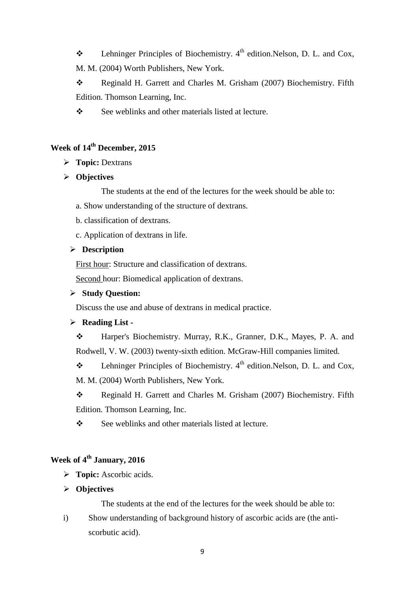- **Example 1.** Lehninger Principles of Biochemistry.  $4^{\text{th}}$  edition. Nelson, D. L. and Cox,
- M. M. (2004) Worth Publishers, New York.

\* Reginald H. Garrett and Charles M. Grisham (2007) Biochemistry. Fifth Edition. Thomson Learning, Inc.

See weblinks and other materials listed at lecture.

# **Week of 14th December, 2015**

- **Topic:** Dextrans
- **Objectives**

The students at the end of the lectures for the week should be able to:

- a. Show understanding of the structure of dextrans.
- b. classification of dextrans.
- c. Application of dextrans in life.

#### **Description**

First hour: Structure and classification of dextrans.

Second hour: Biomedical application of dextrans.

#### **Study Question:**

Discuss the use and abuse of dextrans in medical practice.

## **Reading List -**

 Harper's Biochemistry. Murray, R.K., Granner, D.K., Mayes, P. A. and Rodwell, V. W. (2003) twenty-sixth edition. McGraw-Hill companies limited.

**Example 1.** Lehninger Principles of Biochemistry.  $4^{\text{th}}$  edition. Nelson, D. L. and Cox,

M. M. (2004) Worth Publishers, New York.

\* Reginald H. Garrett and Charles M. Grisham (2007) Biochemistry. Fifth Edition. Thomson Learning, Inc.

 $\div$  See weblinks and other materials listed at lecture.

## **Week of 4 th January, 2016**

- **Topic:** Ascorbic acids.
- **Objectives**

The students at the end of the lectures for the week should be able to:

i) Show understanding of background history of ascorbic acids are (the antiscorbutic acid).